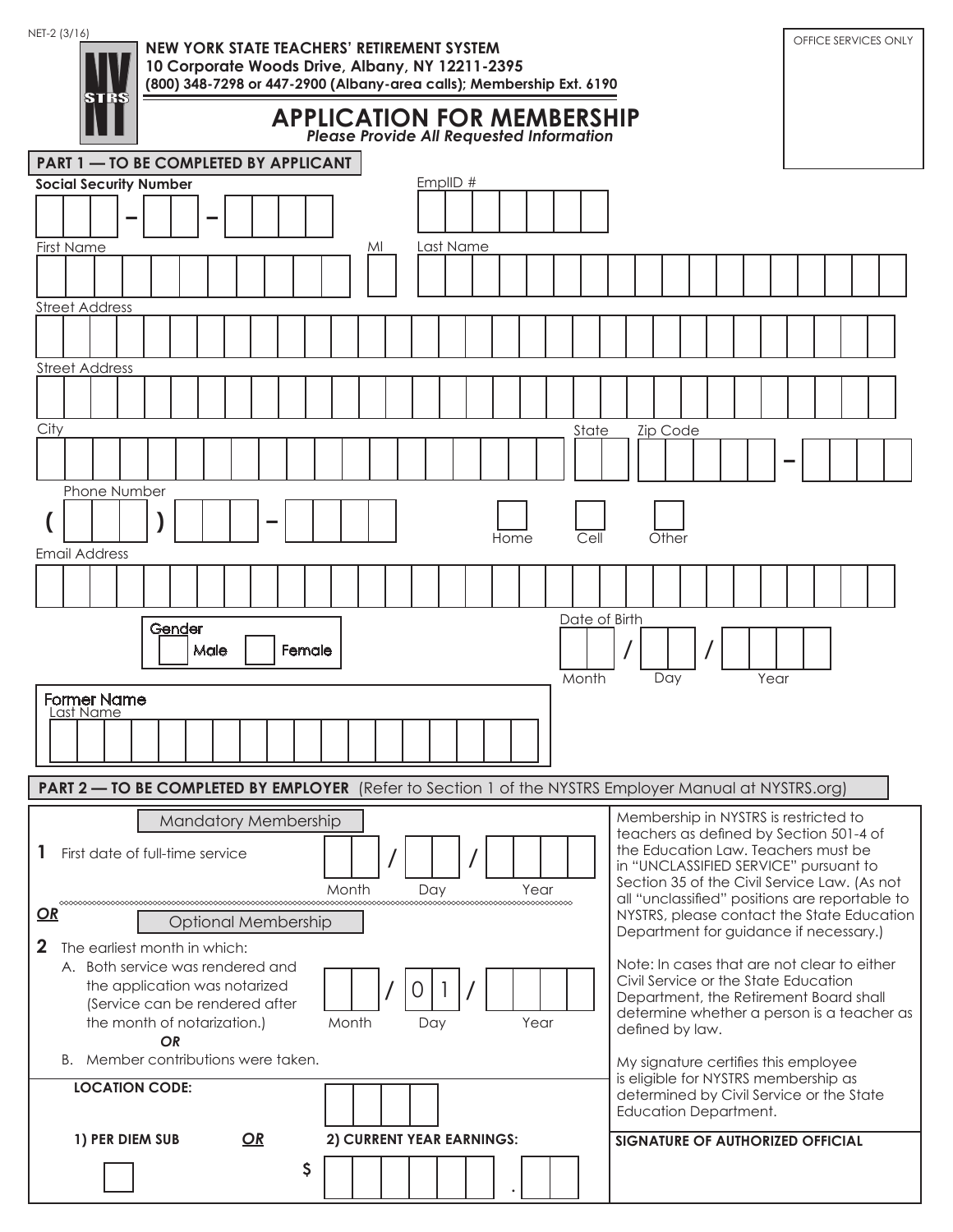| NET-2 (3/16)<br><b>NEW YORK STATE TEACHERS' RETIREMENT SYSTEM</b><br>10 Corporate Woods Drive, Albany, NY 12211-2395 | OFFICE SERVICES ONLY                                                                           |
|----------------------------------------------------------------------------------------------------------------------|------------------------------------------------------------------------------------------------|
| (800) 348-7298 or 447-2900 (Albany-area calls); Membership Ext. 6190<br>STRS                                         |                                                                                                |
| <b>APPLICATION FOR MEMBERSHIP</b><br><b>Please Provide All Requested Information</b>                                 |                                                                                                |
| <b>PART 1 - TO BE COMPLETED BY APPLICANT</b>                                                                         |                                                                                                |
| EmplID $#$<br><b>Social Security Number</b>                                                                          |                                                                                                |
|                                                                                                                      |                                                                                                |
| Last Name<br><b>First Name</b><br>MI                                                                                 |                                                                                                |
| <b>Street Address</b>                                                                                                |                                                                                                |
|                                                                                                                      |                                                                                                |
| <b>Street Address</b>                                                                                                |                                                                                                |
|                                                                                                                      |                                                                                                |
| City<br>State                                                                                                        | <b>Zip Code</b>                                                                                |
| Phone Number                                                                                                         |                                                                                                |
| Cell<br>Home                                                                                                         | Other                                                                                          |
| <b>Email Address</b>                                                                                                 |                                                                                                |
|                                                                                                                      |                                                                                                |
| Date of Birth<br>Gender<br>Female                                                                                    |                                                                                                |
| Male<br>Month                                                                                                        | Day<br>Year                                                                                    |
| <b>Former Name</b><br>Last Name                                                                                      |                                                                                                |
|                                                                                                                      |                                                                                                |
|                                                                                                                      |                                                                                                |
| <b>PART 2 — TO BE COMPLETED BY EMPLOYER</b> (Refer to Section 1 of the NYSTRS Employer Manual at NYSTRS.org)         |                                                                                                |
| <b>Mandatory Membership</b>                                                                                          | Membership in NYSTRS is restricted to<br>teachers as defined by Section 501-4 of               |
| First date of full-time service                                                                                      | the Education Law. Teachers must be<br>in "UNCLASSIFIED SERVICE" pursuant to                   |
| Month<br>Year<br>Day<br>00000000000000000000000000<br>000000000000000000000000000000<br>0000000000000                | Section 35 of the Civil Service Law. (As not<br>all "unclassified" positions are reportable to |
| $\Omega$<br><b>Optional Membership</b>                                                                               | NYSTRS, please contact the State Education<br>Department for guidance if necessary.)           |
| $\mathbf{2}$<br>The earliest month in which:                                                                         | Note: In cases that are not clear to either                                                    |
| A. Both service was rendered and<br>the application was notarized<br>$\cup$                                          | Civil Service or the State Education                                                           |
| (Service can be rendered after<br>Year<br>the month of notarization.)<br>Month<br>Day                                | Department, the Retirement Board shall<br>determine whether a person is a teacher as           |
| OR<br>B. Member contributions were taken.                                                                            | defined by law.                                                                                |
| <b>LOCATION CODE:</b>                                                                                                | My signature certifies this employee<br>is eligible for NYSTRS membership as                   |
|                                                                                                                      | determined by Civil Service or the State<br>Education Department.                              |
| OR<br>1) PER DIEM SUB<br>2) CURRENT YEAR EARNINGS:                                                                   | <b>SIGNATURE OF AUTHORIZED OFFICIAL</b>                                                        |
| \$                                                                                                                   |                                                                                                |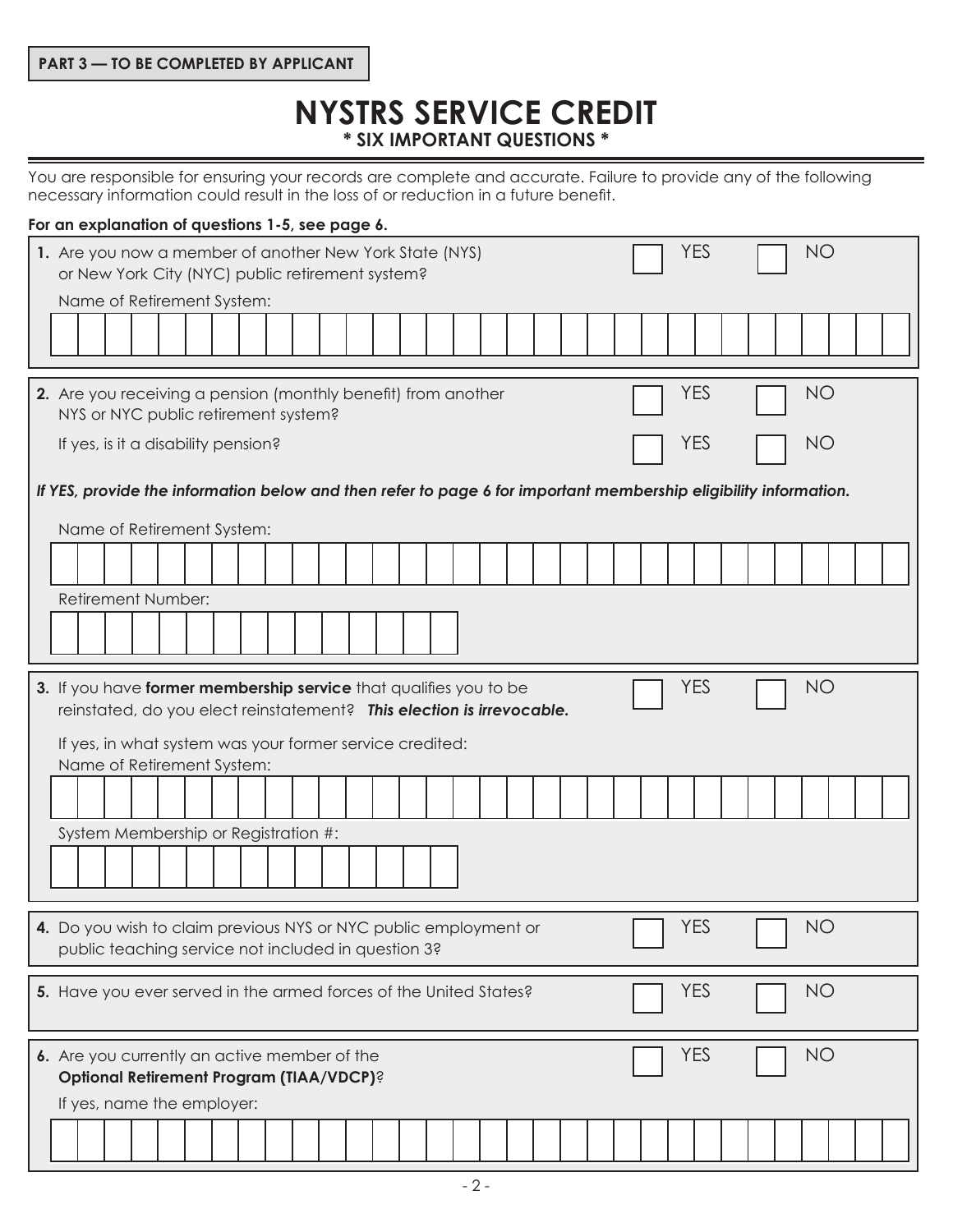# **NYSTRS SERVICE CREDIT \* SIX IMPORTANT QUESTIONS \***

You are responsible for ensuring your records are complete and accurate. Failure to provide any of the following necessary information could result in the loss of or reduction in a future benefit.

# **For an explanation of questions 1-5, see page 6.**

| <b>NO</b><br><b>YES</b><br>1. Are you now a member of another New York State (NYS)<br>or New York City (NYC) public retirement system?                                |
|-----------------------------------------------------------------------------------------------------------------------------------------------------------------------|
| Name of Retirement System:                                                                                                                                            |
| <b>NO</b><br><b>YES</b><br>2. Are you receiving a pension (monthly benefit) from another<br>NYS or NYC public retirement system?                                      |
| <b>YES</b><br>NO<br>If yes, is it a disability pension?                                                                                                               |
| If YES, provide the information below and then refer to page 6 for important membership eligibility information.<br>Name of Retirement System:                        |
|                                                                                                                                                                       |
| Retirement Number:                                                                                                                                                    |
| <b>NO</b><br><b>YES</b><br>3. If you have former membership service that qualifies you to be<br>reinstated, do you elect reinstatement? This election is irrevocable. |
| If yes, in what system was your former service credited:<br>Name of Retirement System:                                                                                |
|                                                                                                                                                                       |
| System Membership or Registration #:                                                                                                                                  |
| <b>YES</b><br>NO<br>4. Do you wish to claim previous NYS or NYC public employment or<br>public teaching service not included in question 3?                           |
| <b>NO</b><br><b>YES</b><br>5. Have you ever served in the armed forces of the United States?                                                                          |
| <b>YES</b><br><b>NO</b><br>6. Are you currently an active member of the<br><b>Optional Retirement Program (TIAA/VDCP)?</b>                                            |
| If yes, name the employer:                                                                                                                                            |
|                                                                                                                                                                       |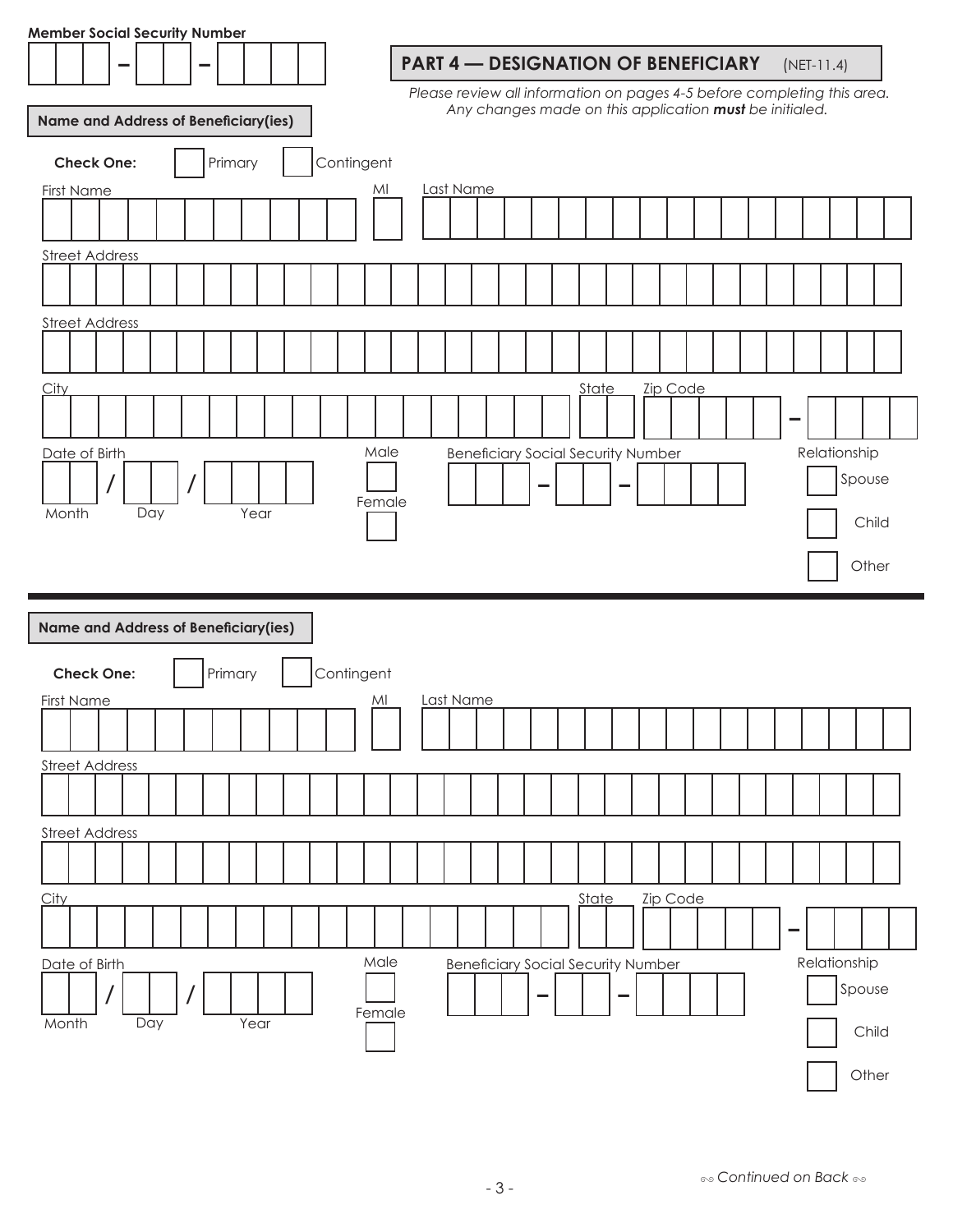| <b>Member Social Security Number</b>        |                   |     |         |      |  |            |        |                                                                         |  |                                                         |       |                          |          |  |   |              |              |        |  |
|---------------------------------------------|-------------------|-----|---------|------|--|------------|--------|-------------------------------------------------------------------------|--|---------------------------------------------------------|-------|--------------------------|----------|--|---|--------------|--------------|--------|--|
|                                             |                   |     |         |      |  |            |        | <b>PART 4 - DESIGNATION OF BENEFICIARY</b>                              |  |                                                         |       |                          |          |  |   | $(NET-11.4)$ |              |        |  |
|                                             |                   |     |         |      |  |            |        | Please review all information on pages 4-5 before completing this area. |  |                                                         |       |                          |          |  |   |              |              |        |  |
| <b>Name and Address of Beneficiary(ies)</b> |                   |     |         |      |  |            |        |                                                                         |  | Any changes made on this application must be initialed. |       |                          |          |  |   |              |              |        |  |
|                                             | <b>Check One:</b> |     | Primary |      |  | Contingent |        |                                                                         |  |                                                         |       |                          |          |  |   |              |              |        |  |
| <b>First Name</b>                           |                   |     |         |      |  |            | MI     | Last Name                                                               |  |                                                         |       |                          |          |  |   |              |              |        |  |
|                                             |                   |     |         |      |  |            |        |                                                                         |  |                                                         |       |                          |          |  |   |              |              |        |  |
| <b>Street Address</b>                       |                   |     |         |      |  |            |        |                                                                         |  |                                                         |       |                          |          |  |   |              |              |        |  |
|                                             |                   |     |         |      |  |            |        |                                                                         |  |                                                         |       |                          |          |  |   |              |              |        |  |
|                                             |                   |     |         |      |  |            |        |                                                                         |  |                                                         |       |                          |          |  |   |              |              |        |  |
| <b>Street Address</b>                       |                   |     |         |      |  |            |        |                                                                         |  |                                                         |       |                          |          |  |   |              |              |        |  |
|                                             |                   |     |         |      |  |            |        |                                                                         |  |                                                         |       |                          |          |  |   |              |              |        |  |
| <b>City</b>                                 |                   |     |         |      |  |            |        |                                                                         |  |                                                         | State |                          | Zip Code |  |   |              |              |        |  |
|                                             |                   |     |         |      |  |            |        |                                                                         |  |                                                         |       |                          |          |  |   |              |              |        |  |
| Date of Birth                               |                   |     |         |      |  |            | Male   |                                                                         |  | <b>Beneficiary Social Security Number</b>               |       |                          |          |  |   |              | Relationship |        |  |
|                                             |                   |     |         |      |  |            |        |                                                                         |  |                                                         |       |                          |          |  |   |              |              | Spouse |  |
| Month                                       |                   | Day |         | Year |  |            | Female |                                                                         |  |                                                         |       |                          |          |  |   |              |              | Child  |  |
|                                             |                   |     |         |      |  |            |        |                                                                         |  |                                                         |       |                          |          |  |   |              |              |        |  |
|                                             |                   |     |         |      |  |            |        |                                                                         |  |                                                         |       |                          |          |  |   |              |              | Other  |  |
|                                             |                   |     |         |      |  |            |        |                                                                         |  |                                                         |       |                          |          |  |   |              |              |        |  |
| Name and Address of Beneficiary(ies)        |                   |     |         |      |  |            |        |                                                                         |  |                                                         |       |                          |          |  |   |              |              |        |  |
|                                             | <b>Check One:</b> |     | Primary |      |  | Contingent |        |                                                                         |  |                                                         |       |                          |          |  |   |              |              |        |  |
| <b>First Name</b>                           |                   |     |         |      |  |            | MI     | Last Name                                                               |  |                                                         |       |                          |          |  |   |              |              |        |  |
|                                             |                   |     |         |      |  |            |        |                                                                         |  |                                                         |       |                          |          |  |   |              |              |        |  |
| <b>Street Address</b>                       |                   |     |         |      |  |            |        |                                                                         |  |                                                         |       |                          |          |  |   |              |              |        |  |
|                                             |                   |     |         |      |  |            |        |                                                                         |  |                                                         |       |                          |          |  |   |              |              |        |  |
| <b>Street Address</b>                       |                   |     |         |      |  |            |        |                                                                         |  |                                                         |       |                          |          |  |   |              |              |        |  |
|                                             |                   |     |         |      |  |            |        |                                                                         |  |                                                         |       |                          |          |  |   |              |              |        |  |
| City                                        |                   |     |         |      |  |            |        |                                                                         |  |                                                         | State |                          | Zip Code |  |   |              |              |        |  |
|                                             |                   |     |         |      |  |            |        |                                                                         |  |                                                         |       |                          |          |  | - |              |              |        |  |
| Date of Birth                               |                   |     |         |      |  |            | Male   |                                                                         |  | <b>Beneficiary Social Security Number</b>               |       |                          |          |  |   |              | Relationship |        |  |
|                                             |                   |     |         |      |  |            | Female |                                                                         |  | -                                                       |       | $\overline{\phantom{0}}$ |          |  |   |              |              | Spouse |  |
| Month                                       |                   | Day |         | Year |  |            |        |                                                                         |  |                                                         |       |                          |          |  |   |              |              | Child  |  |
|                                             |                   |     |         |      |  |            |        |                                                                         |  |                                                         |       |                          |          |  |   |              |              |        |  |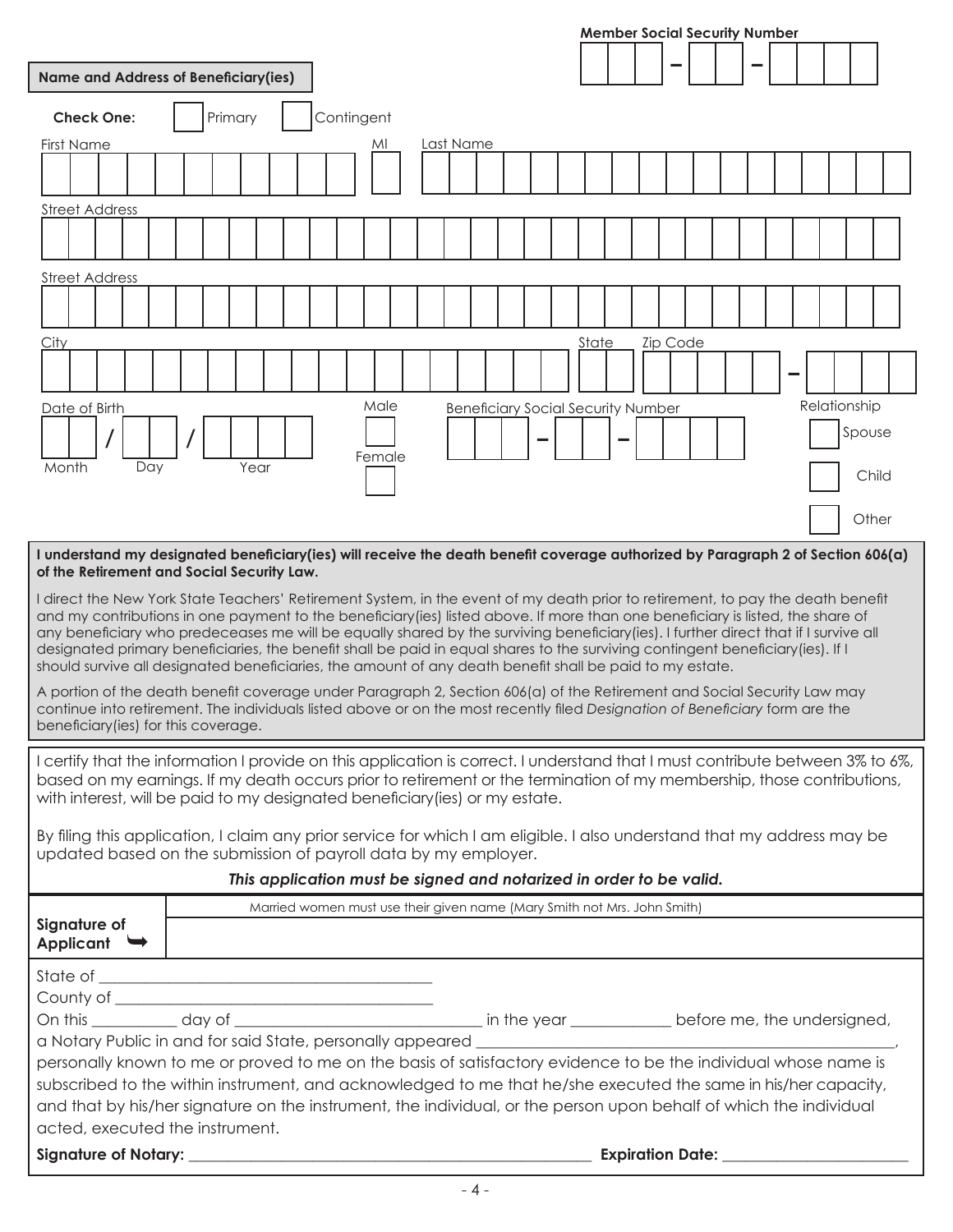|                                                                                                                                                                                                                                                                                                                                                                                                                                                                                                                                                                                                                                                                                                                                                                                    |  |                                                                     |                                                                          |            |        |  |  |                                           |  | <b>Member Social Security Number</b> |  |       |  |  |          |  |  |  |  |  |              |        |  |
|------------------------------------------------------------------------------------------------------------------------------------------------------------------------------------------------------------------------------------------------------------------------------------------------------------------------------------------------------------------------------------------------------------------------------------------------------------------------------------------------------------------------------------------------------------------------------------------------------------------------------------------------------------------------------------------------------------------------------------------------------------------------------------|--|---------------------------------------------------------------------|--------------------------------------------------------------------------|------------|--------|--|--|-------------------------------------------|--|--------------------------------------|--|-------|--|--|----------|--|--|--|--|--|--------------|--------|--|
|                                                                                                                                                                                                                                                                                                                                                                                                                                                                                                                                                                                                                                                                                                                                                                                    |  |                                                                     |                                                                          |            |        |  |  |                                           |  |                                      |  |       |  |  |          |  |  |  |  |  |              |        |  |
| <b>Name and Address of Beneficiary(ies)</b>                                                                                                                                                                                                                                                                                                                                                                                                                                                                                                                                                                                                                                                                                                                                        |  |                                                                     |                                                                          |            |        |  |  |                                           |  |                                      |  |       |  |  |          |  |  |  |  |  |              |        |  |
| <b>Check One:</b>                                                                                                                                                                                                                                                                                                                                                                                                                                                                                                                                                                                                                                                                                                                                                                  |  | Primary                                                             |                                                                          | Contingent |        |  |  |                                           |  |                                      |  |       |  |  |          |  |  |  |  |  |              |        |  |
| <b>First Name</b>                                                                                                                                                                                                                                                                                                                                                                                                                                                                                                                                                                                                                                                                                                                                                                  |  |                                                                     |                                                                          |            | MI     |  |  | Last Name                                 |  |                                      |  |       |  |  |          |  |  |  |  |  |              |        |  |
|                                                                                                                                                                                                                                                                                                                                                                                                                                                                                                                                                                                                                                                                                                                                                                                    |  |                                                                     |                                                                          |            |        |  |  |                                           |  |                                      |  |       |  |  |          |  |  |  |  |  |              |        |  |
| <b>Street Address</b>                                                                                                                                                                                                                                                                                                                                                                                                                                                                                                                                                                                                                                                                                                                                                              |  |                                                                     |                                                                          |            |        |  |  |                                           |  |                                      |  |       |  |  |          |  |  |  |  |  |              |        |  |
|                                                                                                                                                                                                                                                                                                                                                                                                                                                                                                                                                                                                                                                                                                                                                                                    |  |                                                                     |                                                                          |            |        |  |  |                                           |  |                                      |  |       |  |  |          |  |  |  |  |  |              |        |  |
| <b>Street Address</b>                                                                                                                                                                                                                                                                                                                                                                                                                                                                                                                                                                                                                                                                                                                                                              |  |                                                                     |                                                                          |            |        |  |  |                                           |  |                                      |  |       |  |  |          |  |  |  |  |  |              |        |  |
|                                                                                                                                                                                                                                                                                                                                                                                                                                                                                                                                                                                                                                                                                                                                                                                    |  |                                                                     |                                                                          |            |        |  |  |                                           |  |                                      |  |       |  |  |          |  |  |  |  |  |              |        |  |
|                                                                                                                                                                                                                                                                                                                                                                                                                                                                                                                                                                                                                                                                                                                                                                                    |  |                                                                     |                                                                          |            |        |  |  |                                           |  |                                      |  |       |  |  |          |  |  |  |  |  |              |        |  |
| City                                                                                                                                                                                                                                                                                                                                                                                                                                                                                                                                                                                                                                                                                                                                                                               |  |                                                                     |                                                                          |            |        |  |  |                                           |  |                                      |  | State |  |  | Zip Code |  |  |  |  |  |              |        |  |
|                                                                                                                                                                                                                                                                                                                                                                                                                                                                                                                                                                                                                                                                                                                                                                                    |  |                                                                     |                                                                          |            |        |  |  |                                           |  |                                      |  |       |  |  |          |  |  |  |  |  |              |        |  |
| Date of Birth                                                                                                                                                                                                                                                                                                                                                                                                                                                                                                                                                                                                                                                                                                                                                                      |  |                                                                     |                                                                          |            | Male   |  |  | <b>Beneficiary Social Security Number</b> |  |                                      |  |       |  |  |          |  |  |  |  |  | Relationship |        |  |
|                                                                                                                                                                                                                                                                                                                                                                                                                                                                                                                                                                                                                                                                                                                                                                                    |  |                                                                     |                                                                          |            |        |  |  |                                           |  |                                      |  |       |  |  |          |  |  |  |  |  |              | Spouse |  |
| Day<br>Month                                                                                                                                                                                                                                                                                                                                                                                                                                                                                                                                                                                                                                                                                                                                                                       |  | Year                                                                |                                                                          |            | Female |  |  |                                           |  |                                      |  |       |  |  |          |  |  |  |  |  |              | Child  |  |
|                                                                                                                                                                                                                                                                                                                                                                                                                                                                                                                                                                                                                                                                                                                                                                                    |  |                                                                     |                                                                          |            |        |  |  |                                           |  |                                      |  |       |  |  |          |  |  |  |  |  |              |        |  |
|                                                                                                                                                                                                                                                                                                                                                                                                                                                                                                                                                                                                                                                                                                                                                                                    |  |                                                                     |                                                                          |            |        |  |  |                                           |  |                                      |  |       |  |  |          |  |  |  |  |  |              | Other  |  |
| I understand my designated beneficiary(ies) will receive the death benefit coverage authorized by Paragraph 2 of Section 606(a)<br>of the Retirement and Social Security Law.                                                                                                                                                                                                                                                                                                                                                                                                                                                                                                                                                                                                      |  |                                                                     |                                                                          |            |        |  |  |                                           |  |                                      |  |       |  |  |          |  |  |  |  |  |              |        |  |
| I direct the New York State Teachers' Retirement System, in the event of my death prior to retirement, to pay the death benefit<br>and my contributions in one payment to the beneficiary (ies) listed above. If more than one beneficiary is listed, the share of<br>any beneficiary who predeceases me will be equally shared by the surviving beneficiary(ies). I further direct that if I survive all<br>designated primary beneficiaries, the benefit shall be paid in equal shares to the surviving contingent beneficiary(ies). If I<br>should survive all designated beneficiaries, the amount of any death benefit shall be paid to my estate.<br>A portion of the death benefit coverage under Paragraph 2, Section 606(a) of the Retirement and Social Security Law may |  |                                                                     |                                                                          |            |        |  |  |                                           |  |                                      |  |       |  |  |          |  |  |  |  |  |              |        |  |
| continue into retirement. The individuals listed above or on the most recently filed Designation of Beneficiary form are the<br>beneficiary (ies) for this coverage.                                                                                                                                                                                                                                                                                                                                                                                                                                                                                                                                                                                                               |  |                                                                     |                                                                          |            |        |  |  |                                           |  |                                      |  |       |  |  |          |  |  |  |  |  |              |        |  |
| I certify that the information I provide on this application is correct. I understand that I must contribute between 3% to 6%,<br>based on my earnings. If my death occurs prior to retirement or the termination of my membership, those contributions,<br>with interest, will be paid to my designated beneficiary (ies) or my estate.                                                                                                                                                                                                                                                                                                                                                                                                                                           |  |                                                                     |                                                                          |            |        |  |  |                                           |  |                                      |  |       |  |  |          |  |  |  |  |  |              |        |  |
| By filing this application, I claim any prior service for which I am eligible. I also understand that my address may be<br>updated based on the submission of payroll data by my employer.                                                                                                                                                                                                                                                                                                                                                                                                                                                                                                                                                                                         |  |                                                                     |                                                                          |            |        |  |  |                                           |  |                                      |  |       |  |  |          |  |  |  |  |  |              |        |  |
|                                                                                                                                                                                                                                                                                                                                                                                                                                                                                                                                                                                                                                                                                                                                                                                    |  | This application must be signed and notarized in order to be valid. |                                                                          |            |        |  |  |                                           |  |                                      |  |       |  |  |          |  |  |  |  |  |              |        |  |
| Signature of<br>Applicant $\rightarrow$                                                                                                                                                                                                                                                                                                                                                                                                                                                                                                                                                                                                                                                                                                                                            |  |                                                                     | Married women must use their given name (Mary Smith not Mrs. John Smith) |            |        |  |  |                                           |  |                                      |  |       |  |  |          |  |  |  |  |  |              |        |  |
|                                                                                                                                                                                                                                                                                                                                                                                                                                                                                                                                                                                                                                                                                                                                                                                    |  |                                                                     |                                                                          |            |        |  |  |                                           |  |                                      |  |       |  |  |          |  |  |  |  |  |              |        |  |
|                                                                                                                                                                                                                                                                                                                                                                                                                                                                                                                                                                                                                                                                                                                                                                                    |  |                                                                     |                                                                          |            |        |  |  |                                           |  |                                      |  |       |  |  |          |  |  |  |  |  |              |        |  |
|                                                                                                                                                                                                                                                                                                                                                                                                                                                                                                                                                                                                                                                                                                                                                                                    |  |                                                                     |                                                                          |            |        |  |  |                                           |  |                                      |  |       |  |  |          |  |  |  |  |  |              |        |  |
| personally known to me or proved to me on the basis of satisfactory evidence to be the individual whose name is                                                                                                                                                                                                                                                                                                                                                                                                                                                                                                                                                                                                                                                                    |  |                                                                     |                                                                          |            |        |  |  |                                           |  |                                      |  |       |  |  |          |  |  |  |  |  |              |        |  |
| subscribed to the within instrument, and acknowledged to me that he/she executed the same in his/her capacity,                                                                                                                                                                                                                                                                                                                                                                                                                                                                                                                                                                                                                                                                     |  |                                                                     |                                                                          |            |        |  |  |                                           |  |                                      |  |       |  |  |          |  |  |  |  |  |              |        |  |
| and that by his/her signature on the instrument, the individual, or the person upon behalf of which the individual                                                                                                                                                                                                                                                                                                                                                                                                                                                                                                                                                                                                                                                                 |  |                                                                     |                                                                          |            |        |  |  |                                           |  |                                      |  |       |  |  |          |  |  |  |  |  |              |        |  |
| acted, executed the instrument.                                                                                                                                                                                                                                                                                                                                                                                                                                                                                                                                                                                                                                                                                                                                                    |  |                                                                     |                                                                          |            |        |  |  |                                           |  |                                      |  |       |  |  |          |  |  |  |  |  |              |        |  |
|                                                                                                                                                                                                                                                                                                                                                                                                                                                                                                                                                                                                                                                                                                                                                                                    |  |                                                                     |                                                                          |            |        |  |  |                                           |  |                                      |  |       |  |  |          |  |  |  |  |  |              |        |  |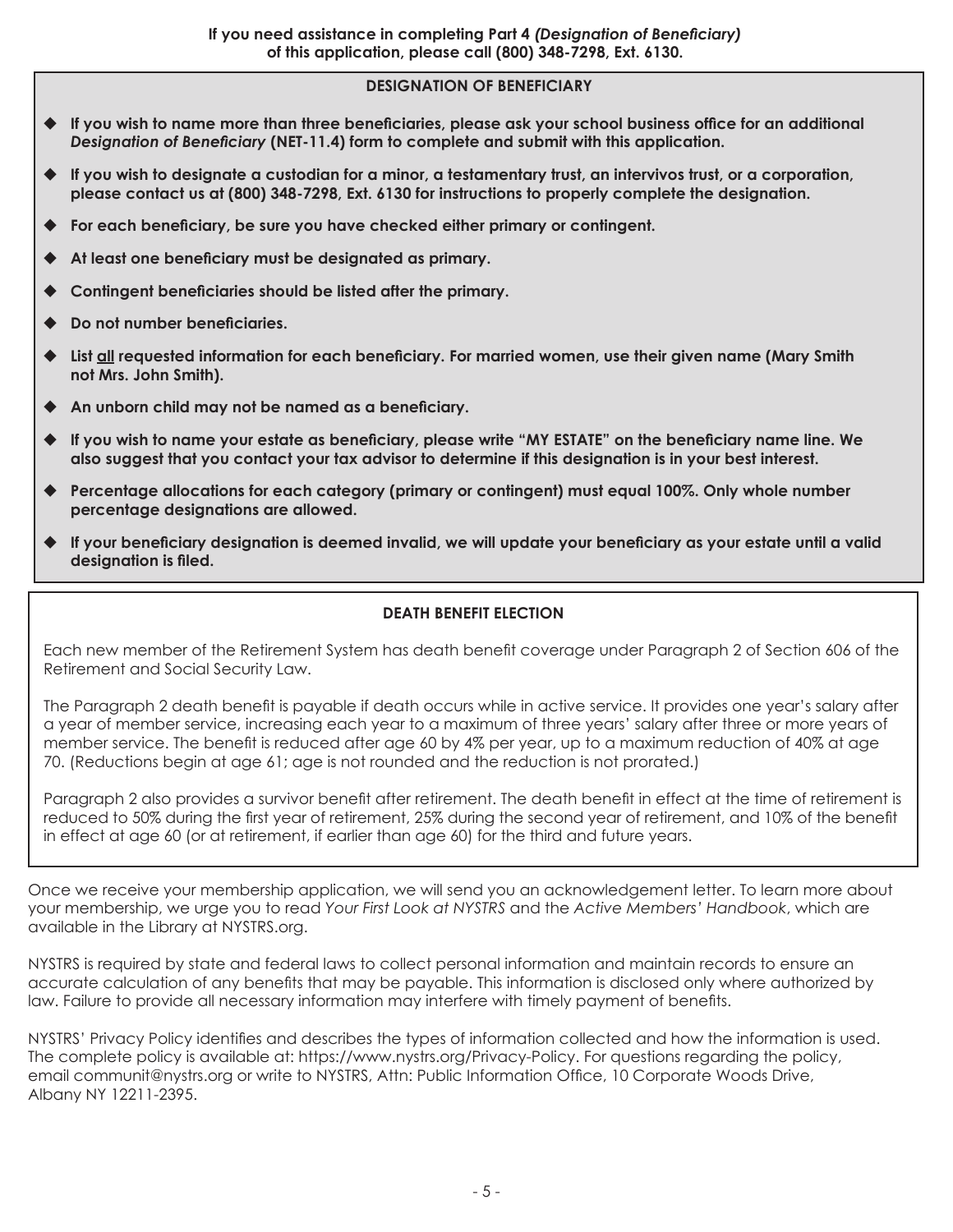# **DESIGNATION OF BENEFICIARY**

- **If you wish to name more than three beneficiaries, please ask your school business office for an additional** *Designation of Beneficiary* **(NET-11.4) form to complete and submit with this application.**
- **If you wish to designate a custodian for a minor, a testamentary trust, an intervivos trust, or a corporation, please contact us at (800) 348-7298, Ext. 6130 for instructions to properly complete the designation.**
- **For each beneficiary, be sure you have checked either primary or contingent.**
- **At least one beneficiary must be designated as primary.**
- **Contingent beneficiaries should be listed after the primary.**
- **Do not number beneficiaries.**
- **List all requested information for each beneficiary. For married women, use their given name (Mary Smith not Mrs. John Smith).**
- **An unborn child may not be named as a beneficiary.**
- **If you wish to name your estate as beneficiary, please write "MY ESTATE" on the beneficiary name line. We also suggest that you contact your tax advisor to determine if this designation is in your best interest.**
- **Percentage allocations for each category (primary or contingent) must equal 100%. Only whole number percentage designations are allowed.**
- **If your beneficiary designation is deemed invalid, we will update your beneficiary as your estate until a valid designation is filed.**

# **DEATH BENEFIT ELECTION**

Each new member of the Retirement System has death benefit coverage under Paragraph 2 of Section 606 of the Retirement and Social Security Law.

The Paragraph 2 death benefit is payable if death occurs while in active service. It provides one year's salary after a year of member service, increasing each year to a maximum of three years' salary after three or more years of member service. The benefit is reduced after age 60 by 4% per year, up to a maximum reduction of 40% at age 70. (Reductions begin at age 61; age is not rounded and the reduction is not prorated.)

Paragraph 2 also provides a survivor benefit after retirement. The death benefit in effect at the time of retirement is reduced to 50% during the first year of retirement, 25% during the second year of retirement, and 10% of the benefit in effect at age 60 (or at retirement, if earlier than age 60) for the third and future years.

Once we receive your membership application, we will send you an acknowledgement letter. To learn more about your membership, we urge you to read *Your First Look at NYSTRS* and the *Active Members' Handbook*, which are available in the Library at NYSTRS.org.

NYSTRS is required by state and federal laws to collect personal information and maintain records to ensure an accurate calculation of any benefits that may be payable. This information is disclosed only where authorized by law. Failure to provide all necessary information may interfere with timely payment of benefits.

NYSTRS' Privacy Policy identifies and describes the types of information collected and how the information is used. The complete policy is available at: https://www.nystrs.org/Privacy-Policy. For questions regarding the policy, email communit@nystrs.org or write to NYSTRS, Attn: Public Information Office, 10 Corporate Woods Drive, Albany NY 12211-2395.